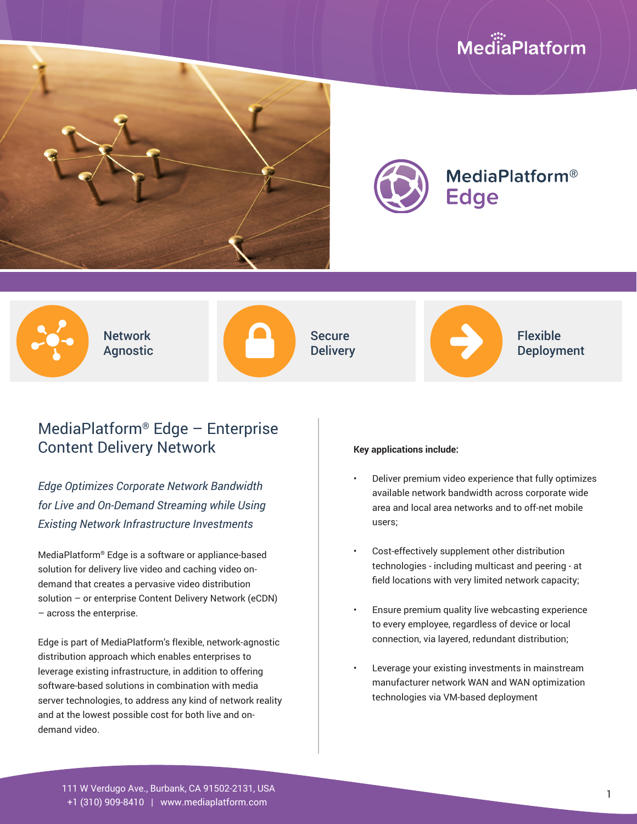# MediaPlatform





**MediaPlatform® Edge** 



Network **Agnostic** 



Secure **Delivery** 



Flexible Deployment

### MediaPlatform® Edge – Enterprise Content Delivery Network

*Edge Optimizes Corporate Network Bandwidth for Live and On-Demand Streaming while Using Existing Network Infrastructure Investments*

MediaPlatform® Edge is a software or appliance-based solution for delivery live video and caching video ondemand that creates a pervasive video distribution solution – or enterprise Content Delivery Network (eCDN) – across the enterprise.

Edge is part of MediaPlatform's flexible, network-agnostic distribution approach which enables enterprises to leverage existing infrastructure, in addition to offering software-based solutions in combination with media server technologies, to address any kind of network reality and at the lowest possible cost for both live and ondemand video.

#### **Key applications include:**

- Deliver premium video experience that fully optimizes available network bandwidth across corporate wide area and local area networks and to off-net mobile users;
- Cost-effectively supplement other distribution technologies - including multicast and peering - at field locations with very limited network capacity;
- Ensure premium quality live webcasting experience to every employee, regardless of device or local connection, via layered, redundant distribution;
- Leverage your existing investments in mainstream manufacturer network WAN and WAN optimization technologies via VM-based deployment